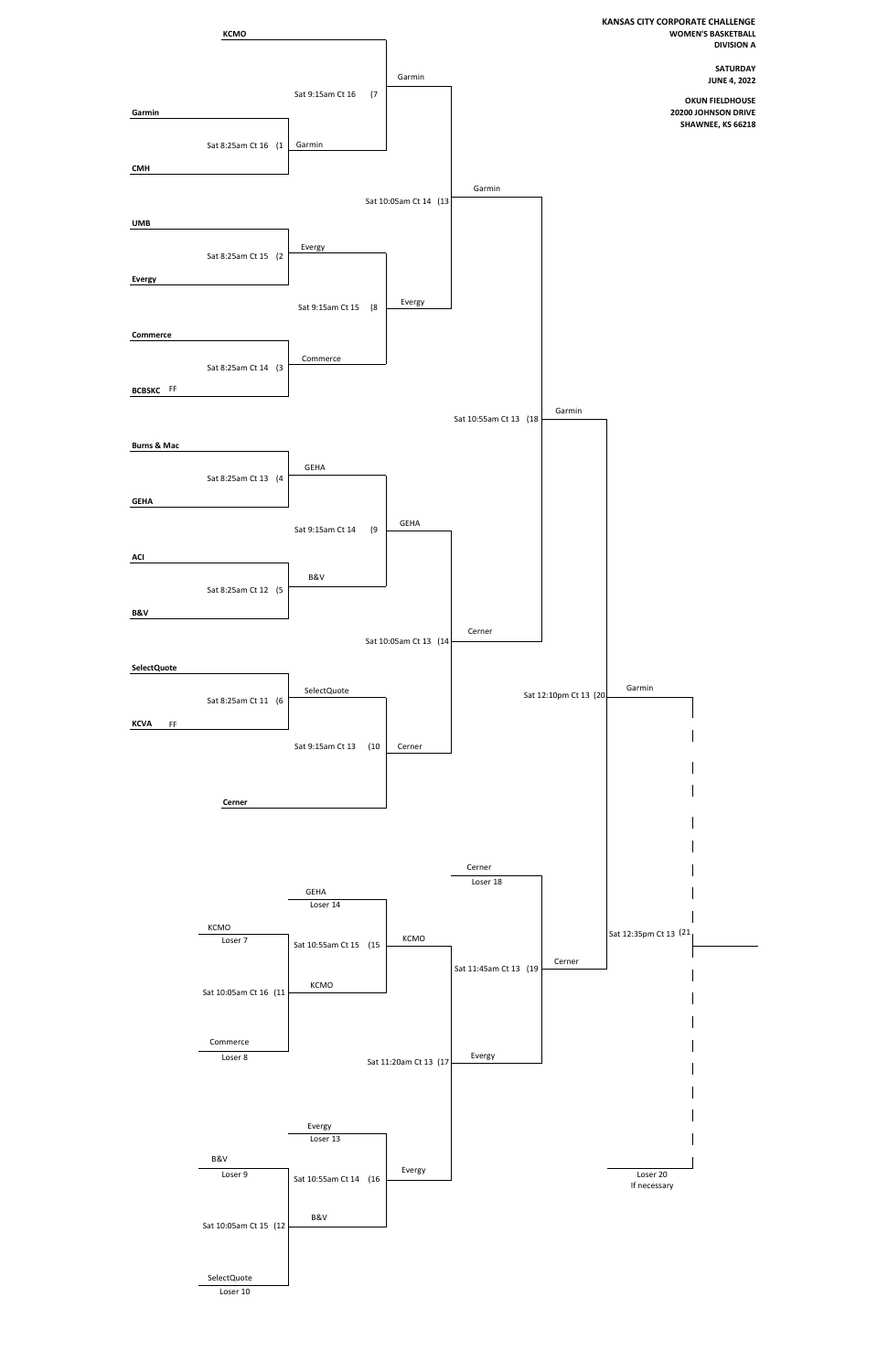

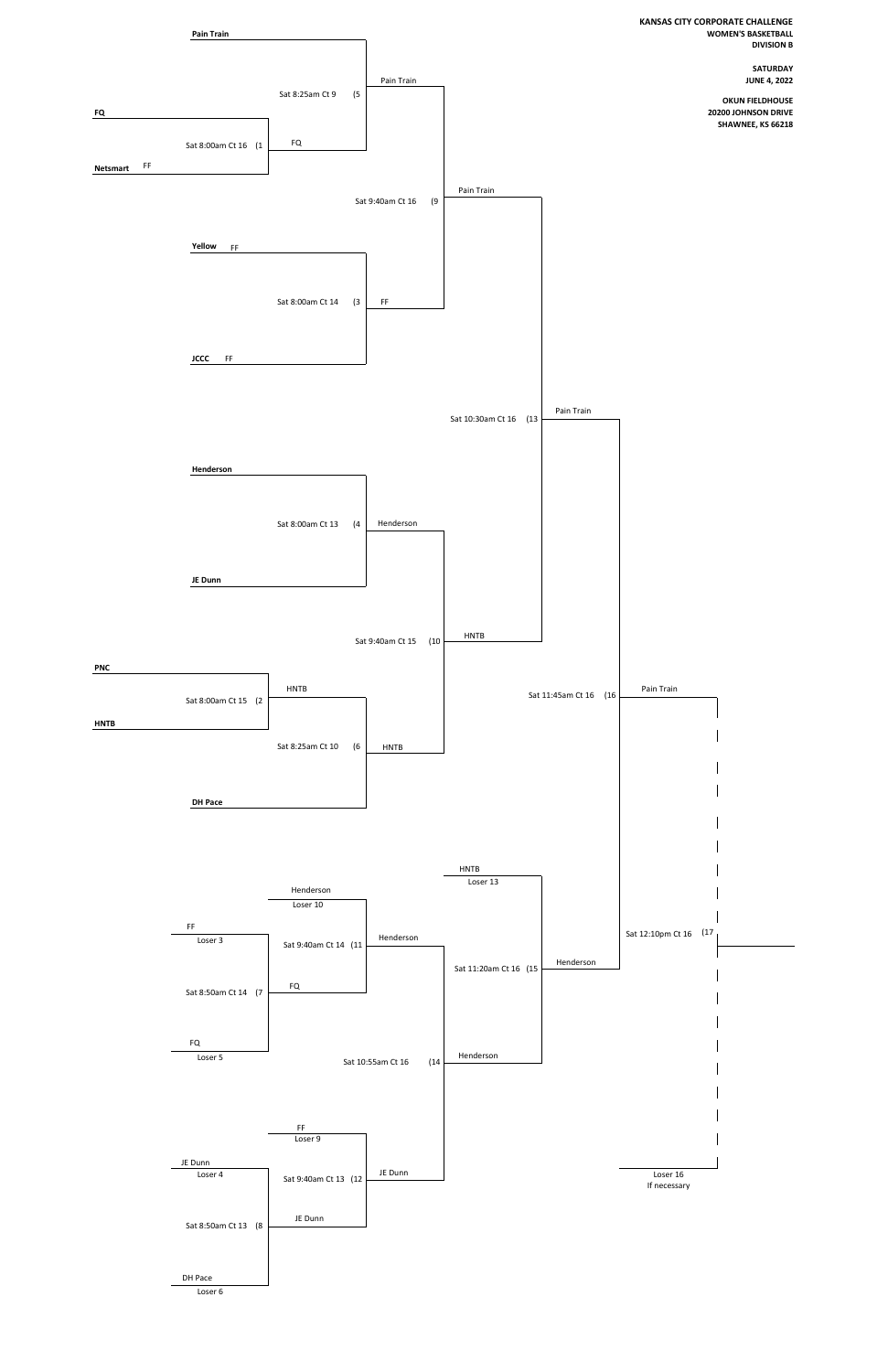

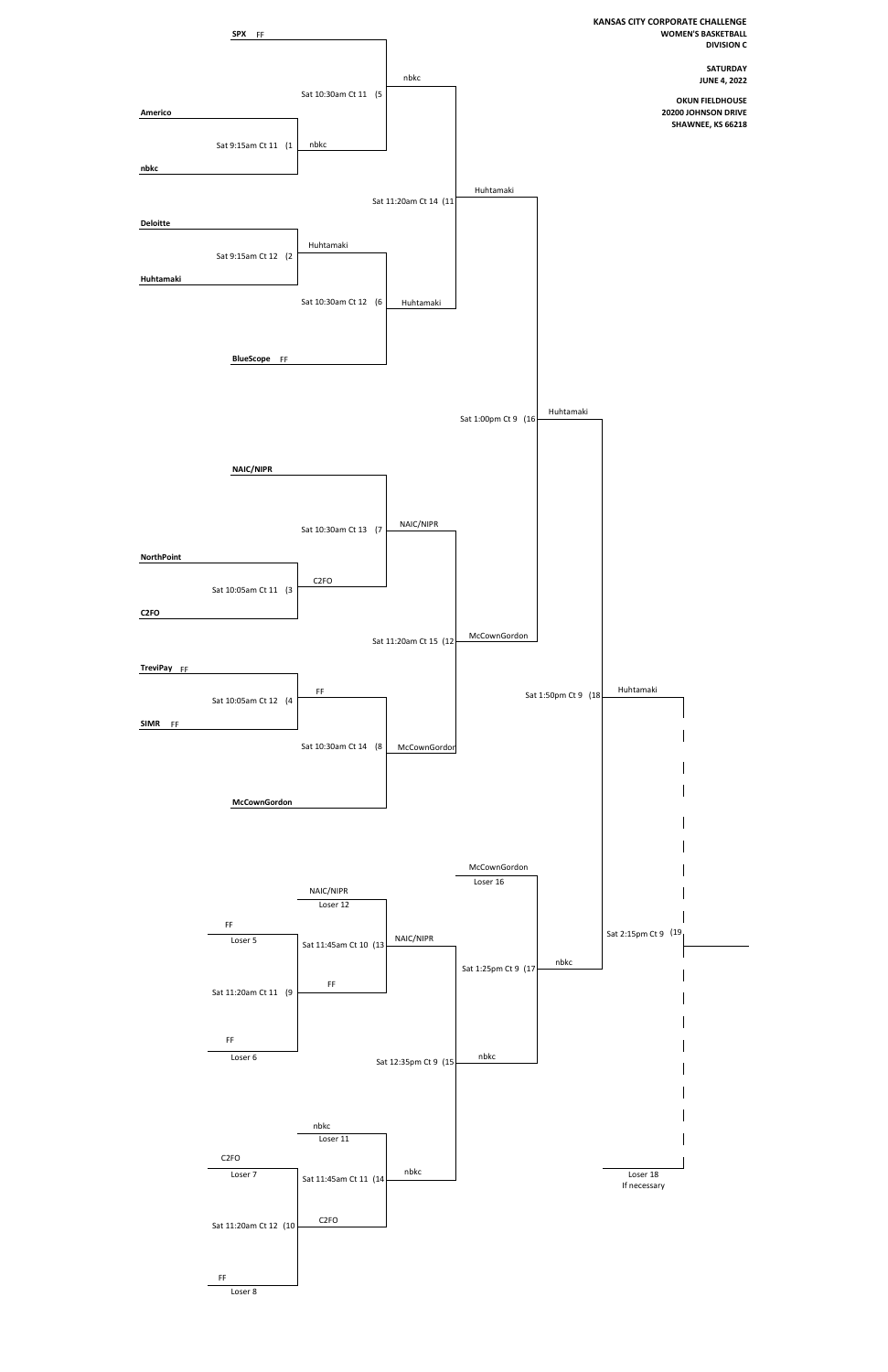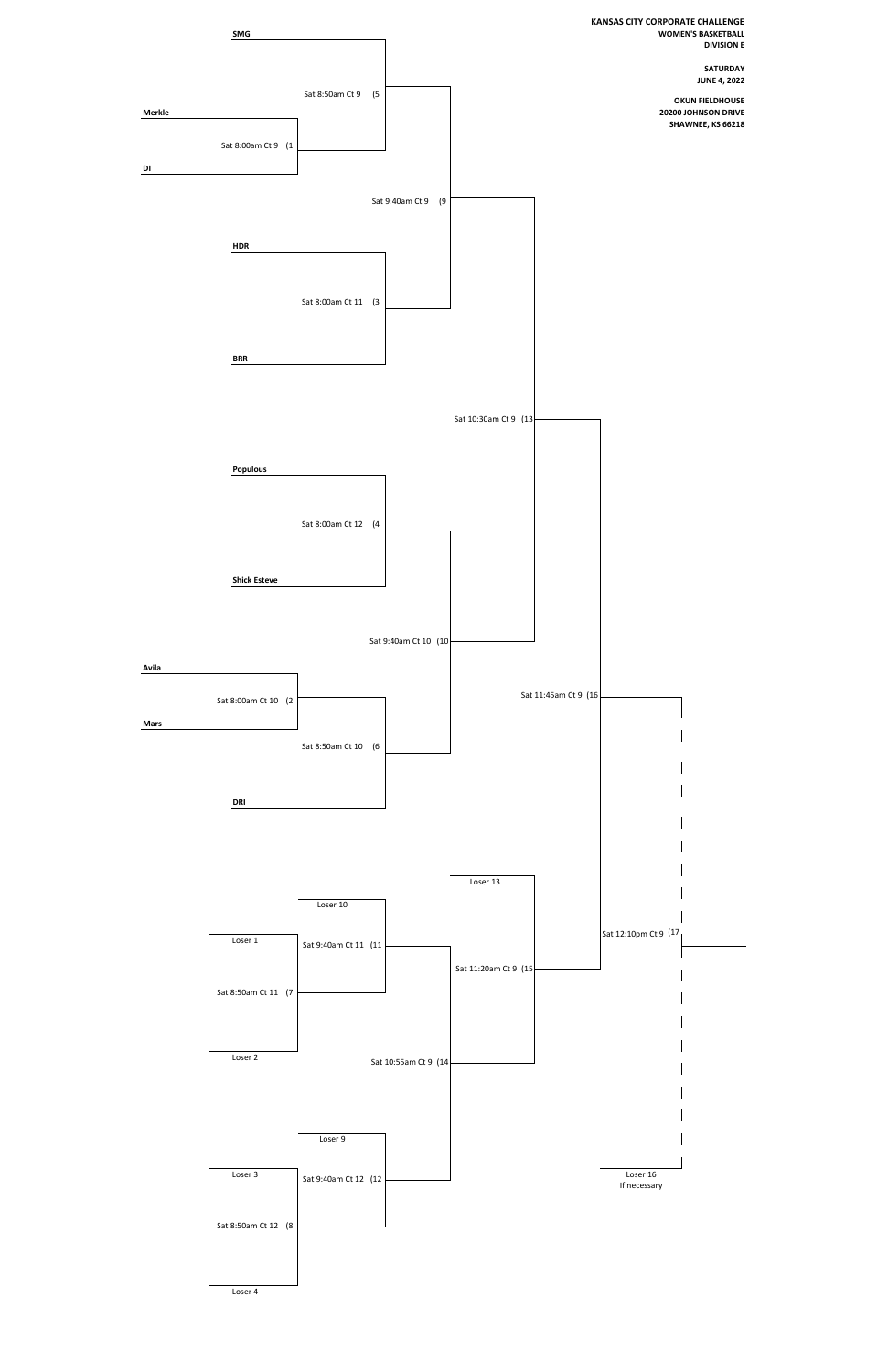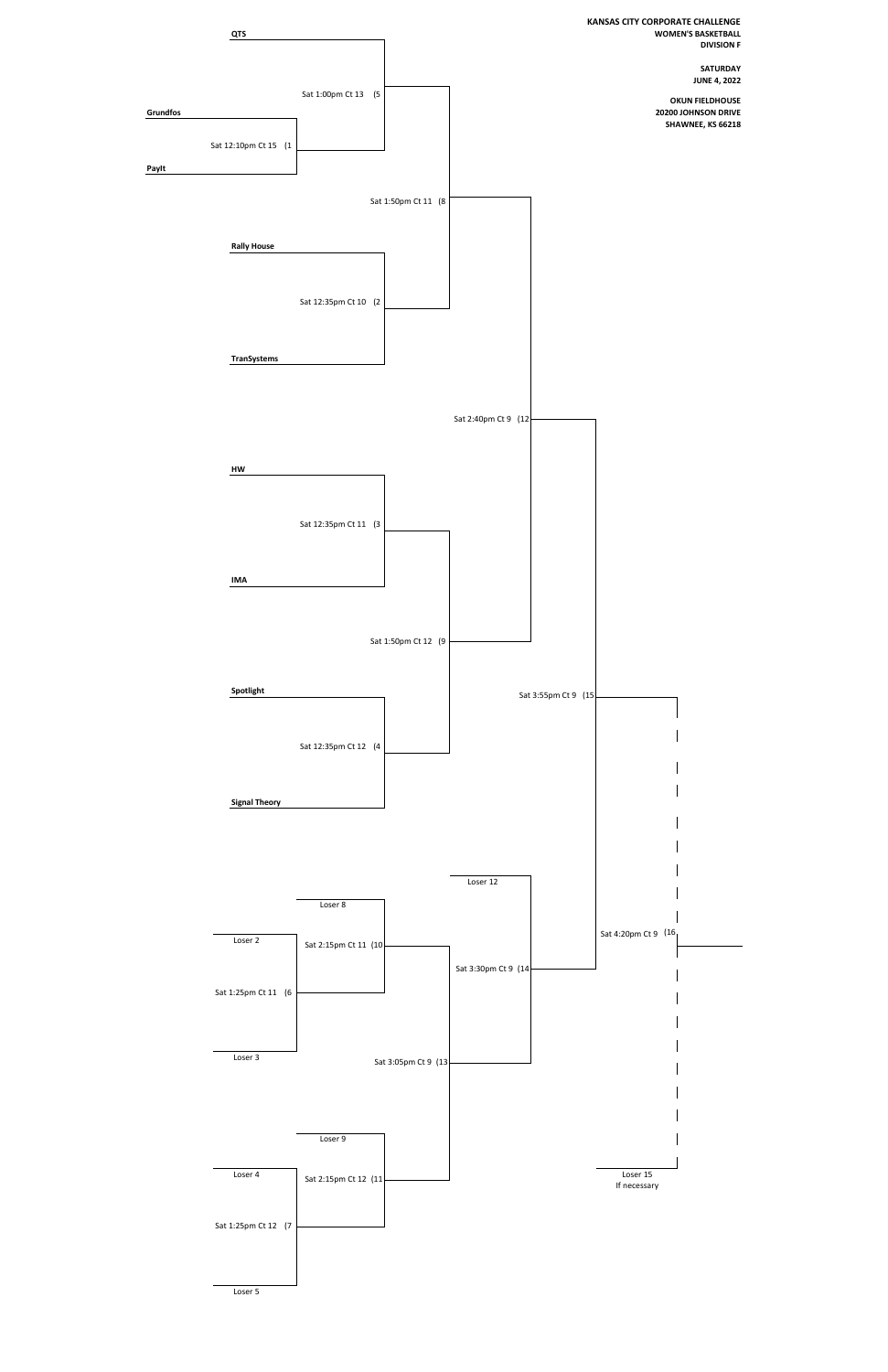